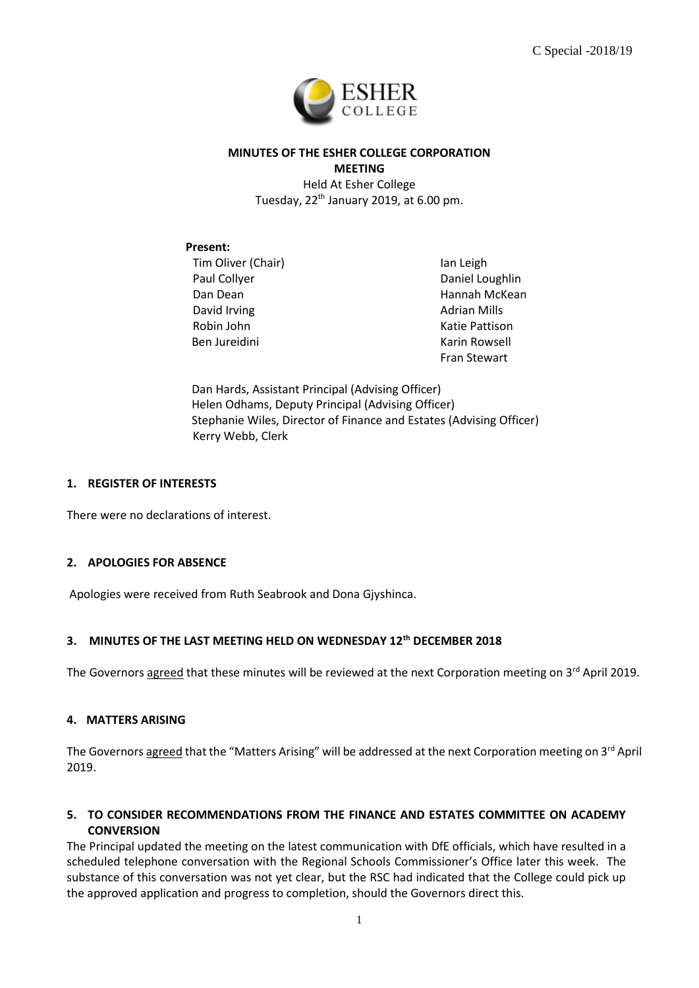

## **MINUTES OF THE ESHER COLLEGE CORPORATION MEETING**

Held At Esher College Tuesday, 22<sup>th</sup> January 2019, at 6.00 pm.

## **Present:**

Tim Oliver (Chair) Paul Collyer Dan Dean David Irving Robin John Ben Jureidini

Ian Leigh Daniel Loughlin Hannah McKean Adrian Mills Katie Pattison Karin Rowsell Fran Stewart

Dan Hards, Assistant Principal (Advising Officer) Helen Odhams, Deputy Principal (Advising Officer) Stephanie Wiles, Director of Finance and Estates (Advising Officer) Kerry Webb, Clerk

## **1. REGISTER OF INTERESTS**

There were no declarations of interest.

## **2. APOLOGIES FOR ABSENCE**

Apologies were received from Ruth Seabrook and Dona Gjyshinca.

## **3. MINUTES OF THE LAST MEETING HELD ON WEDNESDAY 12th DECEMBER 2018**

The Governors agreed that these minutes will be reviewed at the next Corporation meeting on 3<sup>rd</sup> April 2019.

## **4. MATTERS ARISING**

The Governors agreed that the "Matters Arising" will be addressed at the next Corporation meeting on 3<sup>rd</sup> April 2019.

## **5. TO CONSIDER RECOMMENDATIONS FROM THE FINANCE AND ESTATES COMMITTEE ON ACADEMY CONVERSION**

The Principal updated the meeting on the latest communication with DfE officials, which have resulted in a scheduled telephone conversation with the Regional Schools Commissioner's Office later this week. The substance of this conversation was not yet clear, but the RSC had indicated that the College could pick up the approved application and progress to completion, should the Governors direct this.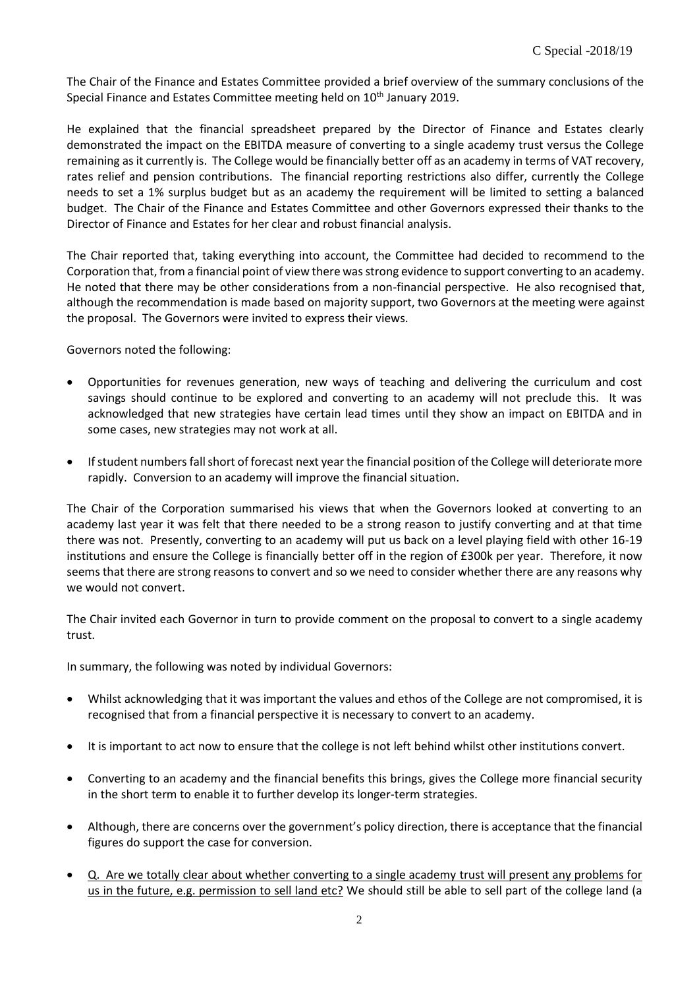The Chair of the Finance and Estates Committee provided a brief overview of the summary conclusions of the Special Finance and Estates Committee meeting held on 10<sup>th</sup> January 2019.

He explained that the financial spreadsheet prepared by the Director of Finance and Estates clearly demonstrated the impact on the EBITDA measure of converting to a single academy trust versus the College remaining as it currently is. The College would be financially better off as an academy in terms of VAT recovery, rates relief and pension contributions. The financial reporting restrictions also differ, currently the College needs to set a 1% surplus budget but as an academy the requirement will be limited to setting a balanced budget. The Chair of the Finance and Estates Committee and other Governors expressed their thanks to the Director of Finance and Estates for her clear and robust financial analysis.

The Chair reported that, taking everything into account, the Committee had decided to recommend to the Corporation that, from a financial point of view there was strong evidence to support converting to an academy. He noted that there may be other considerations from a non-financial perspective. He also recognised that, although the recommendation is made based on majority support, two Governors at the meeting were against the proposal. The Governors were invited to express their views.

Governors noted the following:

- Opportunities for revenues generation, new ways of teaching and delivering the curriculum and cost savings should continue to be explored and converting to an academy will not preclude this. It was acknowledged that new strategies have certain lead times until they show an impact on EBITDA and in some cases, new strategies may not work at all.
- If student numbers fall short of forecast next year the financial position of the College will deteriorate more rapidly. Conversion to an academy will improve the financial situation.

The Chair of the Corporation summarised his views that when the Governors looked at converting to an academy last year it was felt that there needed to be a strong reason to justify converting and at that time there was not. Presently, converting to an academy will put us back on a level playing field with other 16-19 institutions and ensure the College is financially better off in the region of £300k per year. Therefore, it now seems that there are strong reasons to convert and so we need to consider whether there are any reasons why we would not convert.

The Chair invited each Governor in turn to provide comment on the proposal to convert to a single academy trust.

In summary, the following was noted by individual Governors:

- Whilst acknowledging that it was important the values and ethos of the College are not compromised, it is recognised that from a financial perspective it is necessary to convert to an academy.
- It is important to act now to ensure that the college is not left behind whilst other institutions convert.
- Converting to an academy and the financial benefits this brings, gives the College more financial security in the short term to enable it to further develop its longer-term strategies.
- Although, there are concerns over the government's policy direction, there is acceptance that the financial figures do support the case for conversion.
- Q. Are we totally clear about whether converting to a single academy trust will present any problems for us in the future, e.g. permission to sell land etc? We should still be able to sell part of the college land (a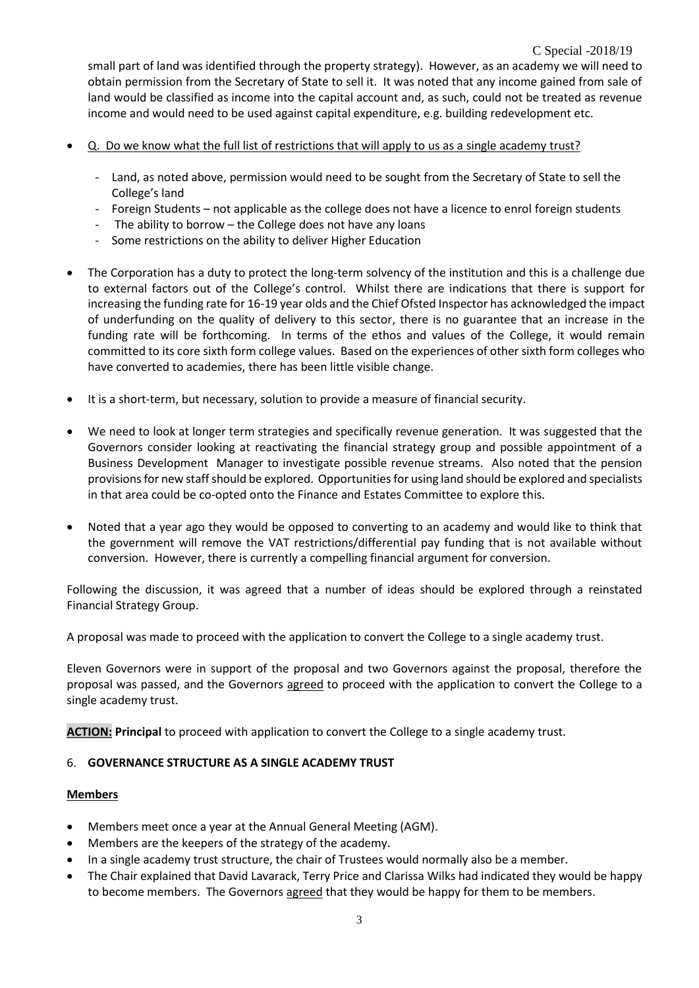small part of land was identified through the property strategy). However, as an academy we will need to obtain permission from the Secretary of State to sell it. It was noted that any income gained from sale of land would be classified as income into the capital account and, as such, could not be treated as revenue income and would need to be used against capital expenditure, e.g. building redevelopment etc.

- Q. Do we know what the full list of restrictions that will apply to us as a single academy trust?
	- Land, as noted above, permission would need to be sought from the Secretary of State to sell the College's land
	- Foreign Students not applicable as the college does not have a licence to enrol foreign students
	- The ability to borrow the College does not have any loans
	- Some restrictions on the ability to deliver Higher Education
- The Corporation has a duty to protect the long-term solvency of the institution and this is a challenge due to external factors out of the College's control. Whilst there are indications that there is support for increasing the funding rate for 16-19 year olds and the Chief Ofsted Inspector has acknowledged the impact of underfunding on the quality of delivery to this sector, there is no guarantee that an increase in the funding rate will be forthcoming. In terms of the ethos and values of the College, it would remain committed to its core sixth form college values. Based on the experiences of other sixth form colleges who have converted to academies, there has been little visible change.
- It is a short-term, but necessary, solution to provide a measure of financial security.
- We need to look at longer term strategies and specifically revenue generation. It was suggested that the Governors consider looking at reactivating the financial strategy group and possible appointment of a Business Development Manager to investigate possible revenue streams. Also noted that the pension provisionsfor new staff should be explored. Opportunities for using land should be explored and specialists in that area could be co-opted onto the Finance and Estates Committee to explore this.
- Noted that a year ago they would be opposed to converting to an academy and would like to think that the government will remove the VAT restrictions/differential pay funding that is not available without conversion. However, there is currently a compelling financial argument for conversion.

Following the discussion, it was agreed that a number of ideas should be explored through a reinstated Financial Strategy Group.

A proposal was made to proceed with the application to convert the College to a single academy trust.

Eleven Governors were in support of the proposal and two Governors against the proposal, therefore the proposal was passed, and the Governors agreed to proceed with the application to convert the College to a single academy trust.

**ACTION: Principal** to proceed with application to convert the College to a single academy trust.

#### 6. **GOVERNANCE STRUCTURE AS A SINGLE ACADEMY TRUST**

#### **Members**

- Members meet once a year at the Annual General Meeting (AGM).
- Members are the keepers of the strategy of the academy.
- In a single academy trust structure, the chair of Trustees would normally also be a member.
- The Chair explained that David Lavarack, Terry Price and Clarissa Wilks had indicated they would be happy to become members. The Governors agreed that they would be happy for them to be members.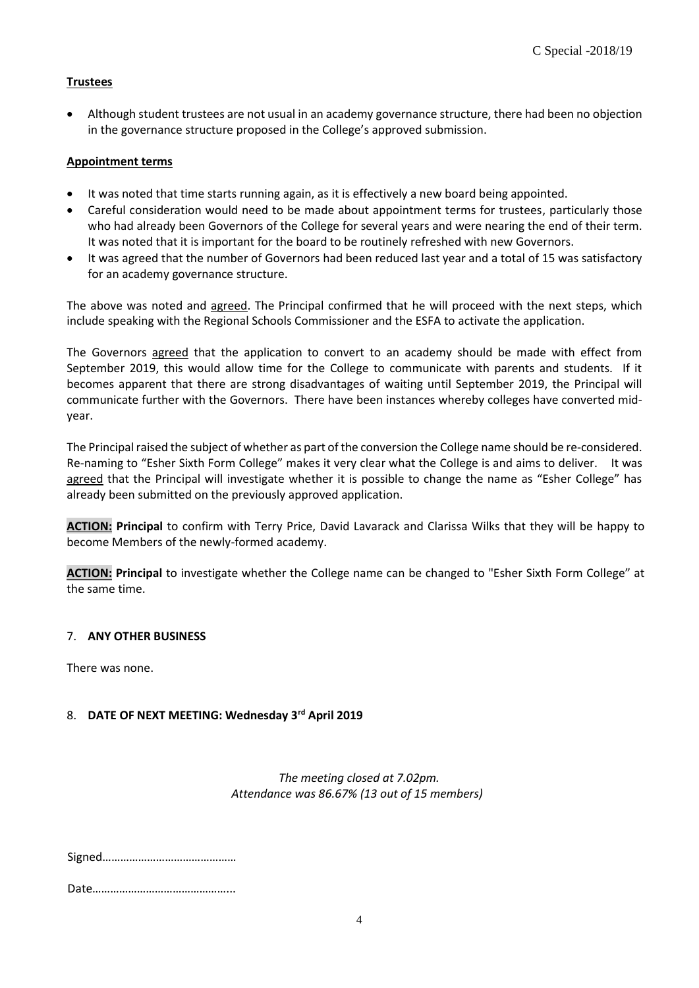## **Trustees**

• Although student trustees are not usual in an academy governance structure, there had been no objection in the governance structure proposed in the College's approved submission.

## **Appointment terms**

- It was noted that time starts running again, as it is effectively a new board being appointed.
- Careful consideration would need to be made about appointment terms for trustees, particularly those who had already been Governors of the College for several years and were nearing the end of their term. It was noted that it is important for the board to be routinely refreshed with new Governors.
- It was agreed that the number of Governors had been reduced last year and a total of 15 was satisfactory for an academy governance structure.

The above was noted and agreed. The Principal confirmed that he will proceed with the next steps, which include speaking with the Regional Schools Commissioner and the ESFA to activate the application.

The Governors agreed that the application to convert to an academy should be made with effect from September 2019, this would allow time for the College to communicate with parents and students. If it becomes apparent that there are strong disadvantages of waiting until September 2019, the Principal will communicate further with the Governors. There have been instances whereby colleges have converted midyear.

The Principal raised the subject of whether as part of the conversion the College name should be re-considered. Re-naming to "Esher Sixth Form College" makes it very clear what the College is and aims to deliver. It was agreed that the Principal will investigate whether it is possible to change the name as "Esher College" has already been submitted on the previously approved application.

**ACTION: Principal** to confirm with Terry Price, David Lavarack and Clarissa Wilks that they will be happy to become Members of the newly-formed academy.

**ACTION: Principal** to investigate whether the College name can be changed to "Esher Sixth Form College" at the same time.

#### 7. **ANY OTHER BUSINESS**

There was none.

## 8. **DATE OF NEXT MEETING: Wednesday 3rd April 2019**

*The meeting closed at 7.02pm. Attendance was 86.67% (13 out of 15 members)*

Signed………………………………………

Date………………………………………...